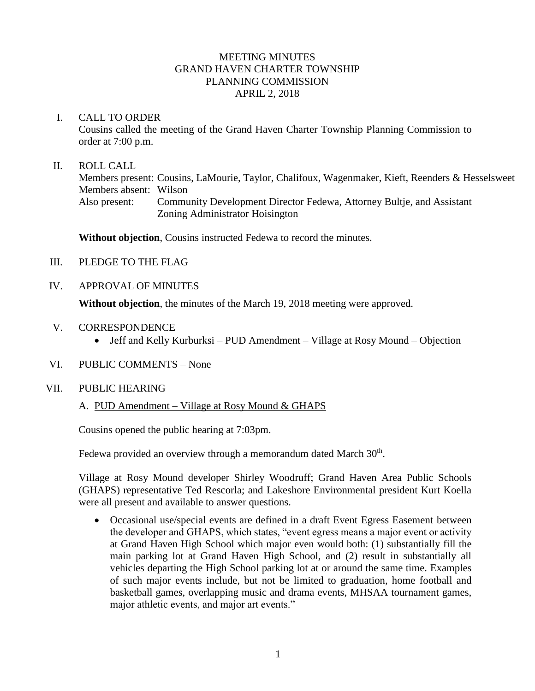## MEETING MINUTES GRAND HAVEN CHARTER TOWNSHIP PLANNING COMMISSION APRIL 2, 2018

### I. CALL TO ORDER

Cousins called the meeting of the Grand Haven Charter Township Planning Commission to order at 7:00 p.m.

### II. ROLL CALL

Members present: Cousins, LaMourie, Taylor, Chalifoux, Wagenmaker, Kieft, Reenders & Hesselsweet Members absent: Wilson Also present: Community Development Director Fedewa, Attorney Bultje, and Assistant Zoning Administrator Hoisington

**Without objection**, Cousins instructed Fedewa to record the minutes.

- III. PLEDGE TO THE FLAG
- IV. APPROVAL OF MINUTES

**Without objection**, the minutes of the March 19, 2018 meeting were approved.

- V. CORRESPONDENCE
	- Jeff and Kelly Kurburksi PUD Amendment Village at Rosy Mound Objection
- VI. PUBLIC COMMENTS None

#### VII. PUBLIC HEARING

## A. PUD Amendment – Village at Rosy Mound & GHAPS

Cousins opened the public hearing at 7:03pm.

Fedewa provided an overview through a memorandum dated March  $30<sup>th</sup>$ .

Village at Rosy Mound developer Shirley Woodruff; Grand Haven Area Public Schools (GHAPS) representative Ted Rescorla; and Lakeshore Environmental president Kurt Koella were all present and available to answer questions.

• Occasional use/special events are defined in a draft Event Egress Easement between the developer and GHAPS, which states, "event egress means a major event or activity at Grand Haven High School which major even would both: (1) substantially fill the main parking lot at Grand Haven High School, and (2) result in substantially all vehicles departing the High School parking lot at or around the same time. Examples of such major events include, but not be limited to graduation, home football and basketball games, overlapping music and drama events, MHSAA tournament games, major athletic events, and major art events."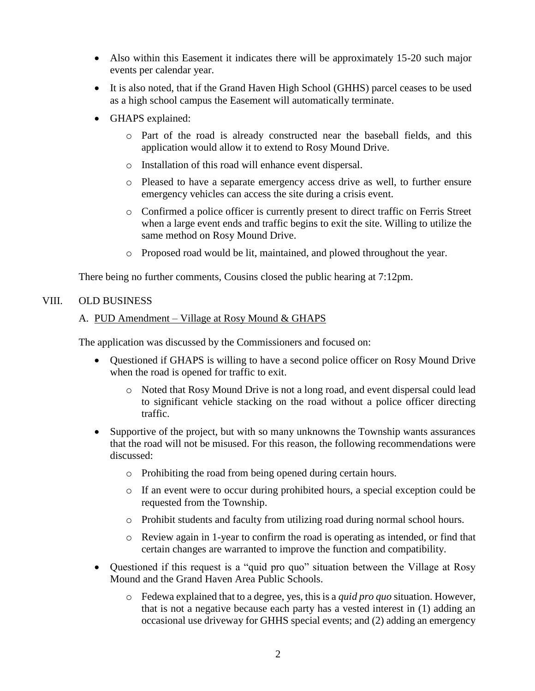- Also within this Easement it indicates there will be approximately 15-20 such major events per calendar year.
- It is also noted, that if the Grand Haven High School (GHHS) parcel ceases to be used as a high school campus the Easement will automatically terminate.
- GHAPS explained:
	- o Part of the road is already constructed near the baseball fields, and this application would allow it to extend to Rosy Mound Drive.
	- o Installation of this road will enhance event dispersal.
	- o Pleased to have a separate emergency access drive as well, to further ensure emergency vehicles can access the site during a crisis event.
	- o Confirmed a police officer is currently present to direct traffic on Ferris Street when a large event ends and traffic begins to exit the site. Willing to utilize the same method on Rosy Mound Drive.
	- o Proposed road would be lit, maintained, and plowed throughout the year.

There being no further comments, Cousins closed the public hearing at 7:12pm.

# VIII. OLD BUSINESS

## A. PUD Amendment – Village at Rosy Mound & GHAPS

The application was discussed by the Commissioners and focused on:

- Questioned if GHAPS is willing to have a second police officer on Rosy Mound Drive when the road is opened for traffic to exit.
	- o Noted that Rosy Mound Drive is not a long road, and event dispersal could lead to significant vehicle stacking on the road without a police officer directing traffic.
- Supportive of the project, but with so many unknowns the Township wants assurances that the road will not be misused. For this reason, the following recommendations were discussed:
	- o Prohibiting the road from being opened during certain hours.
	- o If an event were to occur during prohibited hours, a special exception could be requested from the Township.
	- o Prohibit students and faculty from utilizing road during normal school hours.
	- o Review again in 1-year to confirm the road is operating as intended, or find that certain changes are warranted to improve the function and compatibility.
- Questioned if this request is a "quid pro quo" situation between the Village at Rosy Mound and the Grand Haven Area Public Schools.
	- o Fedewa explained that to a degree, yes, this is a *quid pro quo* situation. However, that is not a negative because each party has a vested interest in (1) adding an occasional use driveway for GHHS special events; and (2) adding an emergency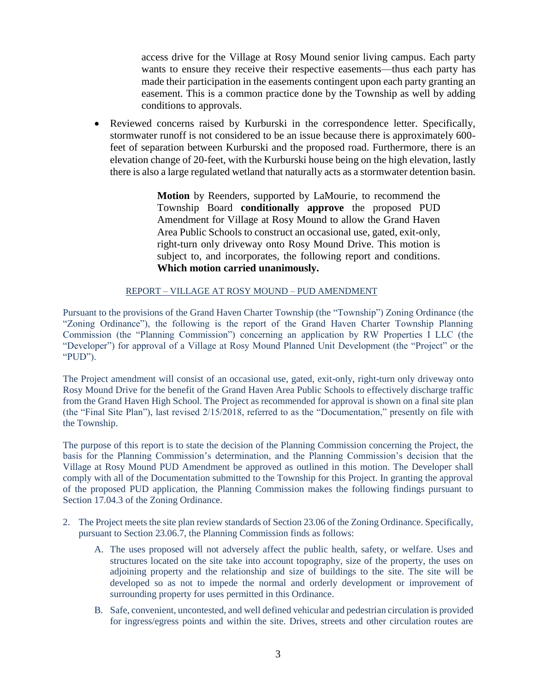access drive for the Village at Rosy Mound senior living campus. Each party wants to ensure they receive their respective easements—thus each party has made their participation in the easements contingent upon each party granting an easement. This is a common practice done by the Township as well by adding conditions to approvals.

• Reviewed concerns raised by Kurburski in the correspondence letter. Specifically, stormwater runoff is not considered to be an issue because there is approximately 600 feet of separation between Kurburski and the proposed road. Furthermore, there is an elevation change of 20-feet, with the Kurburski house being on the high elevation, lastly there is also a large regulated wetland that naturally acts as a stormwater detention basin.

> **Motion** by Reenders, supported by LaMourie, to recommend the Township Board **conditionally approve** the proposed PUD Amendment for Village at Rosy Mound to allow the Grand Haven Area Public Schools to construct an occasional use, gated, exit-only, right-turn only driveway onto Rosy Mound Drive. This motion is subject to, and incorporates, the following report and conditions. **Which motion carried unanimously.**

### REPORT – VILLAGE AT ROSY MOUND – PUD AMENDMENT

Pursuant to the provisions of the Grand Haven Charter Township (the "Township") Zoning Ordinance (the "Zoning Ordinance"), the following is the report of the Grand Haven Charter Township Planning Commission (the "Planning Commission") concerning an application by RW Properties I LLC (the "Developer") for approval of a Village at Rosy Mound Planned Unit Development (the "Project" or the "PUD").

The Project amendment will consist of an occasional use, gated, exit-only, right-turn only driveway onto Rosy Mound Drive for the benefit of the Grand Haven Area Public Schools to effectively discharge traffic from the Grand Haven High School. The Project as recommended for approval is shown on a final site plan (the "Final Site Plan"), last revised 2/15/2018, referred to as the "Documentation," presently on file with the Township.

The purpose of this report is to state the decision of the Planning Commission concerning the Project, the basis for the Planning Commission's determination, and the Planning Commission's decision that the Village at Rosy Mound PUD Amendment be approved as outlined in this motion. The Developer shall comply with all of the Documentation submitted to the Township for this Project. In granting the approval of the proposed PUD application, the Planning Commission makes the following findings pursuant to Section 17.04.3 of the Zoning Ordinance.

- 2. The Project meets the site plan review standards of Section 23.06 of the Zoning Ordinance. Specifically, pursuant to Section 23.06.7, the Planning Commission finds as follows:
	- A. The uses proposed will not adversely affect the public health, safety, or welfare. Uses and structures located on the site take into account topography, size of the property, the uses on adjoining property and the relationship and size of buildings to the site. The site will be developed so as not to impede the normal and orderly development or improvement of surrounding property for uses permitted in this Ordinance.
	- B. Safe, convenient, uncontested, and well defined vehicular and pedestrian circulation is provided for ingress/egress points and within the site. Drives, streets and other circulation routes are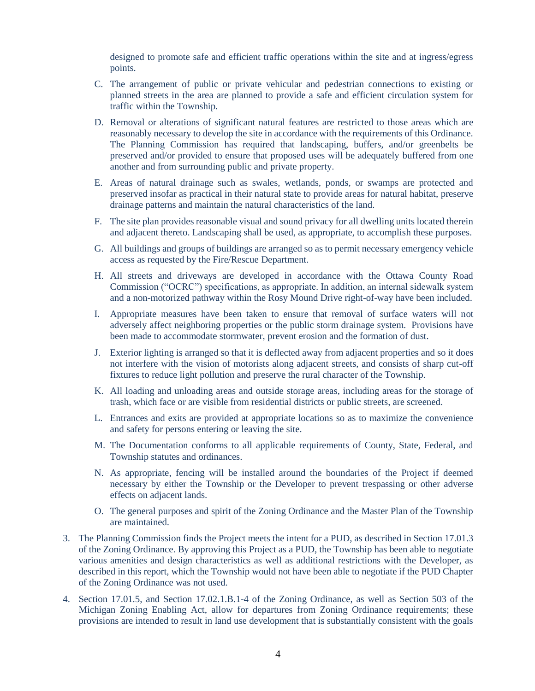designed to promote safe and efficient traffic operations within the site and at ingress/egress points.

- C. The arrangement of public or private vehicular and pedestrian connections to existing or planned streets in the area are planned to provide a safe and efficient circulation system for traffic within the Township.
- D. Removal or alterations of significant natural features are restricted to those areas which are reasonably necessary to develop the site in accordance with the requirements of this Ordinance. The Planning Commission has required that landscaping, buffers, and/or greenbelts be preserved and/or provided to ensure that proposed uses will be adequately buffered from one another and from surrounding public and private property.
- E. Areas of natural drainage such as swales, wetlands, ponds, or swamps are protected and preserved insofar as practical in their natural state to provide areas for natural habitat, preserve drainage patterns and maintain the natural characteristics of the land.
- F. The site plan provides reasonable visual and sound privacy for all dwelling units located therein and adjacent thereto. Landscaping shall be used, as appropriate, to accomplish these purposes.
- G. All buildings and groups of buildings are arranged so as to permit necessary emergency vehicle access as requested by the Fire/Rescue Department.
- H. All streets and driveways are developed in accordance with the Ottawa County Road Commission ("OCRC") specifications, as appropriate. In addition, an internal sidewalk system and a non-motorized pathway within the Rosy Mound Drive right-of-way have been included.
- I. Appropriate measures have been taken to ensure that removal of surface waters will not adversely affect neighboring properties or the public storm drainage system. Provisions have been made to accommodate stormwater, prevent erosion and the formation of dust.
- J. Exterior lighting is arranged so that it is deflected away from adjacent properties and so it does not interfere with the vision of motorists along adjacent streets, and consists of sharp cut-off fixtures to reduce light pollution and preserve the rural character of the Township.
- K. All loading and unloading areas and outside storage areas, including areas for the storage of trash, which face or are visible from residential districts or public streets, are screened.
- L. Entrances and exits are provided at appropriate locations so as to maximize the convenience and safety for persons entering or leaving the site.
- M. The Documentation conforms to all applicable requirements of County, State, Federal, and Township statutes and ordinances.
- N. As appropriate, fencing will be installed around the boundaries of the Project if deemed necessary by either the Township or the Developer to prevent trespassing or other adverse effects on adjacent lands.
- O. The general purposes and spirit of the Zoning Ordinance and the Master Plan of the Township are maintained.
- 3. The Planning Commission finds the Project meets the intent for a PUD, as described in Section 17.01.3 of the Zoning Ordinance. By approving this Project as a PUD, the Township has been able to negotiate various amenities and design characteristics as well as additional restrictions with the Developer, as described in this report, which the Township would not have been able to negotiate if the PUD Chapter of the Zoning Ordinance was not used.
- 4. Section 17.01.5, and Section 17.02.1.B.1-4 of the Zoning Ordinance, as well as Section 503 of the Michigan Zoning Enabling Act, allow for departures from Zoning Ordinance requirements; these provisions are intended to result in land use development that is substantially consistent with the goals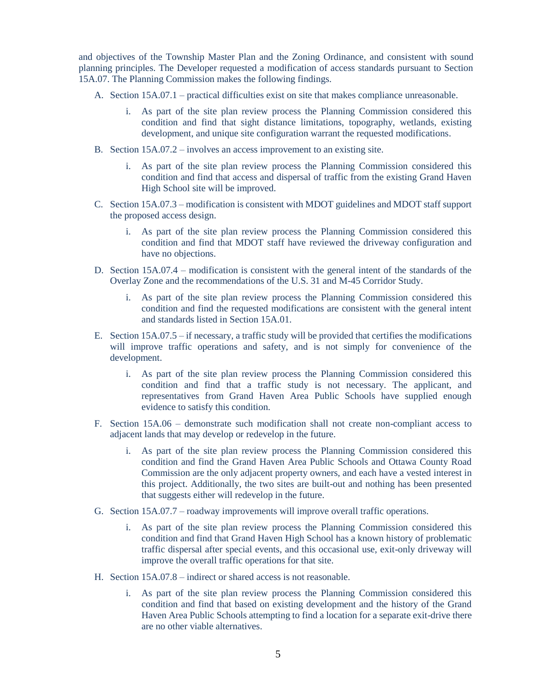and objectives of the Township Master Plan and the Zoning Ordinance, and consistent with sound planning principles. The Developer requested a modification of access standards pursuant to Section 15A.07. The Planning Commission makes the following findings.

- A. Section 15A.07.1 practical difficulties exist on site that makes compliance unreasonable.
	- i. As part of the site plan review process the Planning Commission considered this condition and find that sight distance limitations, topography, wetlands, existing development, and unique site configuration warrant the requested modifications.
- B. Section 15A.07.2 involves an access improvement to an existing site.
	- i. As part of the site plan review process the Planning Commission considered this condition and find that access and dispersal of traffic from the existing Grand Haven High School site will be improved.
- C. Section 15A.07.3 modification is consistent with MDOT guidelines and MDOT staff support the proposed access design.
	- i. As part of the site plan review process the Planning Commission considered this condition and find that MDOT staff have reviewed the driveway configuration and have no objections.
- D. Section 15A.07.4 modification is consistent with the general intent of the standards of the Overlay Zone and the recommendations of the U.S. 31 and M-45 Corridor Study.
	- i. As part of the site plan review process the Planning Commission considered this condition and find the requested modifications are consistent with the general intent and standards listed in Section 15A.01.
- E. Section 15A.07.5 if necessary, a traffic study will be provided that certifies the modifications will improve traffic operations and safety, and is not simply for convenience of the development.
	- i. As part of the site plan review process the Planning Commission considered this condition and find that a traffic study is not necessary. The applicant, and representatives from Grand Haven Area Public Schools have supplied enough evidence to satisfy this condition.
- F. Section 15A.06 demonstrate such modification shall not create non-compliant access to adjacent lands that may develop or redevelop in the future.
	- i. As part of the site plan review process the Planning Commission considered this condition and find the Grand Haven Area Public Schools and Ottawa County Road Commission are the only adjacent property owners, and each have a vested interest in this project. Additionally, the two sites are built-out and nothing has been presented that suggests either will redevelop in the future.
- G. Section 15A.07.7 roadway improvements will improve overall traffic operations.
	- i. As part of the site plan review process the Planning Commission considered this condition and find that Grand Haven High School has a known history of problematic traffic dispersal after special events, and this occasional use, exit-only driveway will improve the overall traffic operations for that site.
- H. Section 15A.07.8 indirect or shared access is not reasonable.
	- i. As part of the site plan review process the Planning Commission considered this condition and find that based on existing development and the history of the Grand Haven Area Public Schools attempting to find a location for a separate exit-drive there are no other viable alternatives.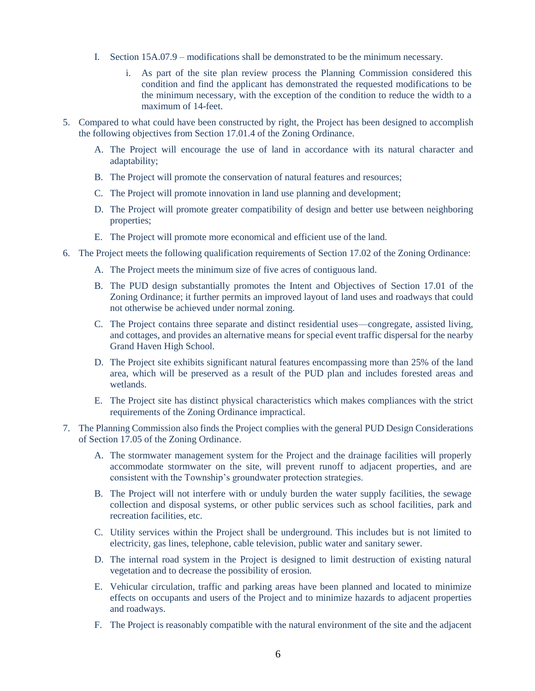- I. Section 15A.07.9 modifications shall be demonstrated to be the minimum necessary.
	- i. As part of the site plan review process the Planning Commission considered this condition and find the applicant has demonstrated the requested modifications to be the minimum necessary, with the exception of the condition to reduce the width to a maximum of 14-feet.
- 5. Compared to what could have been constructed by right, the Project has been designed to accomplish the following objectives from Section 17.01.4 of the Zoning Ordinance.
	- A. The Project will encourage the use of land in accordance with its natural character and adaptability;
	- B. The Project will promote the conservation of natural features and resources;
	- C. The Project will promote innovation in land use planning and development;
	- D. The Project will promote greater compatibility of design and better use between neighboring properties;
	- E. The Project will promote more economical and efficient use of the land.
- 6. The Project meets the following qualification requirements of Section 17.02 of the Zoning Ordinance:
	- A. The Project meets the minimum size of five acres of contiguous land.
	- B. The PUD design substantially promotes the Intent and Objectives of Section 17.01 of the Zoning Ordinance; it further permits an improved layout of land uses and roadways that could not otherwise be achieved under normal zoning.
	- C. The Project contains three separate and distinct residential uses—congregate, assisted living, and cottages, and provides an alternative means for special event traffic dispersal for the nearby Grand Haven High School.
	- D. The Project site exhibits significant natural features encompassing more than 25% of the land area, which will be preserved as a result of the PUD plan and includes forested areas and wetlands.
	- E. The Project site has distinct physical characteristics which makes compliances with the strict requirements of the Zoning Ordinance impractical.
- 7. The Planning Commission also finds the Project complies with the general PUD Design Considerations of Section 17.05 of the Zoning Ordinance.
	- A. The stormwater management system for the Project and the drainage facilities will properly accommodate stormwater on the site, will prevent runoff to adjacent properties, and are consistent with the Township's groundwater protection strategies.
	- B. The Project will not interfere with or unduly burden the water supply facilities, the sewage collection and disposal systems, or other public services such as school facilities, park and recreation facilities, etc.
	- C. Utility services within the Project shall be underground. This includes but is not limited to electricity, gas lines, telephone, cable television, public water and sanitary sewer.
	- D. The internal road system in the Project is designed to limit destruction of existing natural vegetation and to decrease the possibility of erosion.
	- E. Vehicular circulation, traffic and parking areas have been planned and located to minimize effects on occupants and users of the Project and to minimize hazards to adjacent properties and roadways.
	- F. The Project is reasonably compatible with the natural environment of the site and the adjacent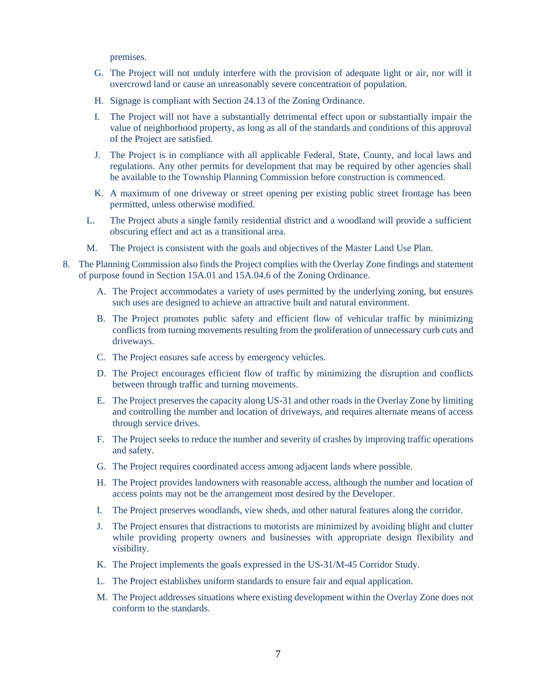premises.

- G. The Project will not unduly interfere with the provision of adequate light or air, nor will it overcrowd land or cause an unreasonably severe concentration of population.
- H. Signage is compliant with Section 24.13 of the Zoning Ordinance.
- I. The Project will not have a substantially detrimental effect upon or substantially impair the value of neighborhood property, as long as all of the standards and conditions of this approval of the Project are satisfied.
- J. The Project is in compliance with all applicable Federal, State, County, and local laws and regulations. Any other permits for development that may be required by other agencies shall be available to the Township Planning Commission before construction is commenced.
- K. A maximum of one driveway or street opening per existing public street frontage has been permitted, unless otherwise modified.
- L. The Project abuts a single family residential district and a woodland will provide a sufficient obscuring effect and act as a transitional area.
- M. The Project is consistent with the goals and objectives of the Master Land Use Plan.
- 8. The Planning Commission also finds the Project complies with the Overlay Zone findings and statement of purpose found in Section 15A.01 and 15A.04.6 of the Zoning Ordinance.
	- A. The Project accommodates a variety of uses permitted by the underlying zoning, but ensures such uses are designed to achieve an attractive built and natural environment.
	- B. The Project promotes public safety and efficient flow of vehicular traffic by minimizing conflicts from turning movements resulting from the proliferation of unnecessary curb cuts and driveways.
	- C. The Project ensures safe access by emergency vehicles.
	- D. The Project encourages efficient flow of traffic by minimizing the disruption and conflicts between through traffic and turning movements.
	- E. The Project preserves the capacity along US-31 and other roads in the Overlay Zone by limiting and controlling the number and location of driveways, and requires alternate means of access through service drives.
	- F. The Project seeks to reduce the number and severity of crashes by improving traffic operations and safety.
	- G. The Project requires coordinated access among adjacent lands where possible.
	- H. The Project provides landowners with reasonable access, although the number and location of access points may not be the arrangement most desired by the Developer.
	- I. The Project preserves woodlands, view sheds, and other natural features along the corridor.
	- J. The Project ensures that distractions to motorists are minimized by avoiding blight and clutter while providing property owners and businesses with appropriate design flexibility and visibility.
	- K. The Project implements the goals expressed in the US-31/M-45 Corridor Study.
	- L. The Project establishes uniform standards to ensure fair and equal application.
	- M. The Project addresses situations where existing development within the Overlay Zone does not conform to the standards.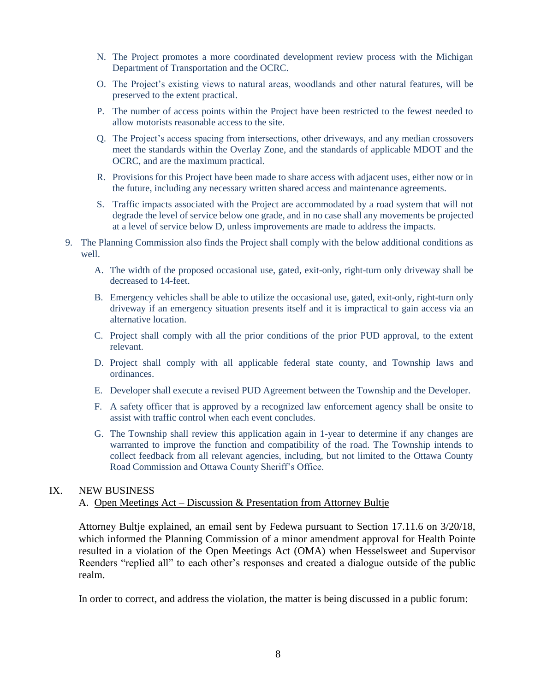- N. The Project promotes a more coordinated development review process with the Michigan Department of Transportation and the OCRC.
- O. The Project's existing views to natural areas, woodlands and other natural features, will be preserved to the extent practical.
- P. The number of access points within the Project have been restricted to the fewest needed to allow motorists reasonable access to the site.
- Q. The Project's access spacing from intersections, other driveways, and any median crossovers meet the standards within the Overlay Zone, and the standards of applicable MDOT and the OCRC, and are the maximum practical.
- R. Provisions for this Project have been made to share access with adjacent uses, either now or in the future, including any necessary written shared access and maintenance agreements.
- S. Traffic impacts associated with the Project are accommodated by a road system that will not degrade the level of service below one grade, and in no case shall any movements be projected at a level of service below D, unless improvements are made to address the impacts.
- 9. The Planning Commission also finds the Project shall comply with the below additional conditions as well.
	- A. The width of the proposed occasional use, gated, exit-only, right-turn only driveway shall be decreased to 14-feet.
	- B. Emergency vehicles shall be able to utilize the occasional use, gated, exit-only, right-turn only driveway if an emergency situation presents itself and it is impractical to gain access via an alternative location.
	- C. Project shall comply with all the prior conditions of the prior PUD approval, to the extent relevant.
	- D. Project shall comply with all applicable federal state county, and Township laws and ordinances.
	- E. Developer shall execute a revised PUD Agreement between the Township and the Developer.
	- F. A safety officer that is approved by a recognized law enforcement agency shall be onsite to assist with traffic control when each event concludes.
	- G. The Township shall review this application again in 1-year to determine if any changes are warranted to improve the function and compatibility of the road. The Township intends to collect feedback from all relevant agencies, including, but not limited to the Ottawa County Road Commission and Ottawa County Sheriff's Office.

### IX. NEW BUSINESS

#### A. Open Meetings Act – Discussion & Presentation from Attorney Bultje

Attorney Bultje explained, an email sent by Fedewa pursuant to Section 17.11.6 on 3/20/18, which informed the Planning Commission of a minor amendment approval for Health Pointe resulted in a violation of the Open Meetings Act (OMA) when Hesselsweet and Supervisor Reenders "replied all" to each other's responses and created a dialogue outside of the public realm.

In order to correct, and address the violation, the matter is being discussed in a public forum: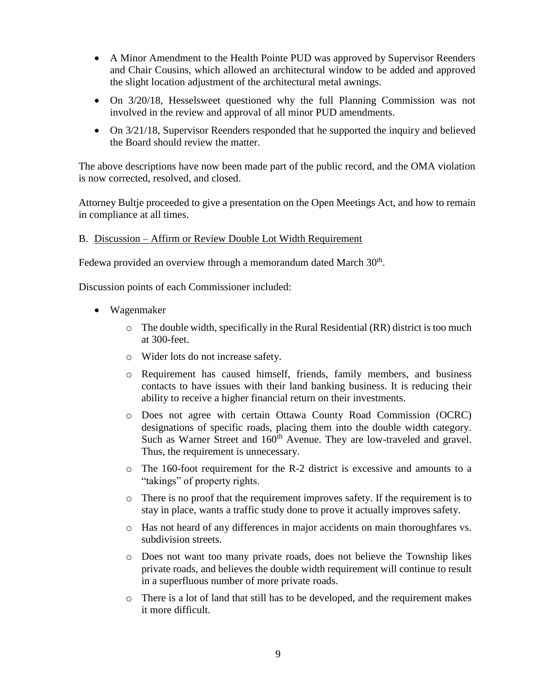- A Minor Amendment to the Health Pointe PUD was approved by Supervisor Reenders and Chair Cousins, which allowed an architectural window to be added and approved the slight location adjustment of the architectural metal awnings.
- On 3/20/18, Hesselsweet questioned why the full Planning Commission was not involved in the review and approval of all minor PUD amendments.
- On  $3/21/18$ , Supervisor Reenders responded that he supported the inquiry and believed the Board should review the matter.

The above descriptions have now been made part of the public record, and the OMA violation is now corrected, resolved, and closed.

Attorney Bultje proceeded to give a presentation on the Open Meetings Act, and how to remain in compliance at all times.

# B. Discussion – Affirm or Review Double Lot Width Requirement

Fedewa provided an overview through a memorandum dated March  $30<sup>th</sup>$ .

Discussion points of each Commissioner included:

- Wagenmaker
	- o The double width, specifically in the Rural Residential (RR) district is too much at 300-feet.
	- o Wider lots do not increase safety.
	- o Requirement has caused himself, friends, family members, and business contacts to have issues with their land banking business. It is reducing their ability to receive a higher financial return on their investments.
	- o Does not agree with certain Ottawa County Road Commission (OCRC) designations of specific roads, placing them into the double width category. Such as Warner Street and 160<sup>th</sup> Avenue. They are low-traveled and gravel. Thus, the requirement is unnecessary.
	- o The 160-foot requirement for the R-2 district is excessive and amounts to a "takings" of property rights.
	- o There is no proof that the requirement improves safety. If the requirement is to stay in place, wants a traffic study done to prove it actually improves safety.
	- o Has not heard of any differences in major accidents on main thoroughfares vs. subdivision streets.
	- o Does not want too many private roads, does not believe the Township likes private roads, and believes the double width requirement will continue to result in a superfluous number of more private roads.
	- o There is a lot of land that still has to be developed, and the requirement makes it more difficult.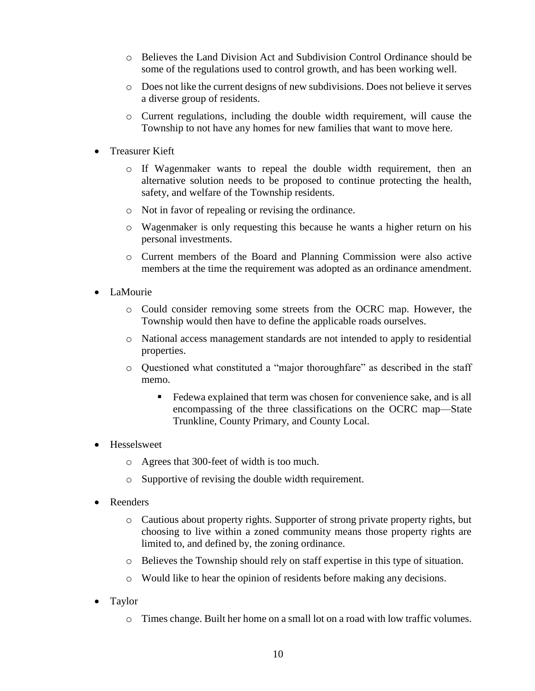- o Believes the Land Division Act and Subdivision Control Ordinance should be some of the regulations used to control growth, and has been working well.
- o Does not like the current designs of new subdivisions. Does not believe it serves a diverse group of residents.
- o Current regulations, including the double width requirement, will cause the Township to not have any homes for new families that want to move here.
- Treasurer Kieft
	- o If Wagenmaker wants to repeal the double width requirement, then an alternative solution needs to be proposed to continue protecting the health, safety, and welfare of the Township residents.
	- o Not in favor of repealing or revising the ordinance.
	- o Wagenmaker is only requesting this because he wants a higher return on his personal investments.
	- o Current members of the Board and Planning Commission were also active members at the time the requirement was adopted as an ordinance amendment.
- LaMourie
	- o Could consider removing some streets from the OCRC map. However, the Township would then have to define the applicable roads ourselves.
	- o National access management standards are not intended to apply to residential properties.
	- o Questioned what constituted a "major thoroughfare" as described in the staff memo.
		- Fedewa explained that term was chosen for convenience sake, and is all encompassing of the three classifications on the OCRC map—State Trunkline, County Primary, and County Local.
- Hesselsweet
	- o Agrees that 300-feet of width is too much.
	- o Supportive of revising the double width requirement.
- Reenders
	- o Cautious about property rights. Supporter of strong private property rights, but choosing to live within a zoned community means those property rights are limited to, and defined by, the zoning ordinance.
	- o Believes the Township should rely on staff expertise in this type of situation.
	- o Would like to hear the opinion of residents before making any decisions.
- Taylor
	- o Times change. Built her home on a small lot on a road with low traffic volumes.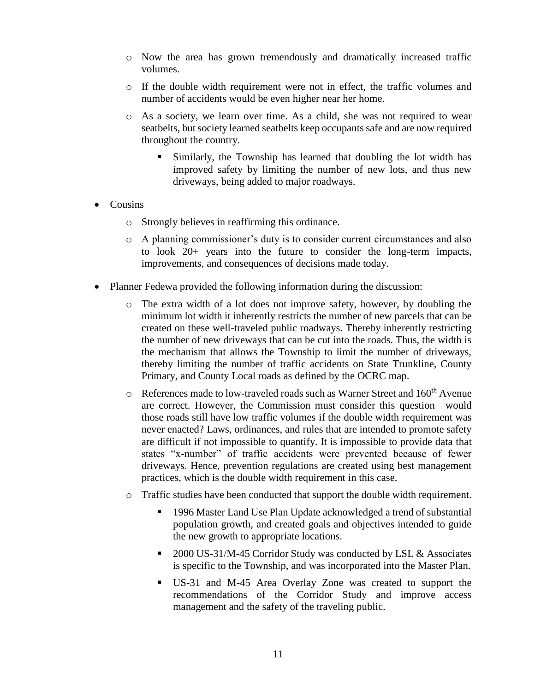- o Now the area has grown tremendously and dramatically increased traffic volumes.
- o If the double width requirement were not in effect, the traffic volumes and number of accidents would be even higher near her home.
- o As a society, we learn over time. As a child, she was not required to wear seatbelts, but society learned seatbelts keep occupants safe and are now required throughout the country.
	- Similarly, the Township has learned that doubling the lot width has improved safety by limiting the number of new lots, and thus new driveways, being added to major roadways.
- Cousins
	- o Strongly believes in reaffirming this ordinance.
	- o A planning commissioner's duty is to consider current circumstances and also to look 20+ years into the future to consider the long-term impacts, improvements, and consequences of decisions made today.
- Planner Fedewa provided the following information during the discussion:
	- o The extra width of a lot does not improve safety, however, by doubling the minimum lot width it inherently restricts the number of new parcels that can be created on these well-traveled public roadways. Thereby inherently restricting the number of new driveways that can be cut into the roads. Thus, the width is the mechanism that allows the Township to limit the number of driveways, thereby limiting the number of traffic accidents on State Trunkline, County Primary, and County Local roads as defined by the OCRC map.
	- o References made to low-traveled roads such as Warner Street and 160<sup>th</sup> Avenue are correct. However, the Commission must consider this question—would those roads still have low traffic volumes if the double width requirement was never enacted? Laws, ordinances, and rules that are intended to promote safety are difficult if not impossible to quantify. It is impossible to provide data that states "x-number" of traffic accidents were prevented because of fewer driveways. Hence, prevention regulations are created using best management practices, which is the double width requirement in this case.
	- o Traffic studies have been conducted that support the double width requirement.
		- 1996 Master Land Use Plan Update acknowledged a trend of substantial population growth, and created goals and objectives intended to guide the new growth to appropriate locations.
		- 2000 US-31/M-45 Corridor Study was conducted by LSL & Associates is specific to the Township, and was incorporated into the Master Plan.
		- US-31 and M-45 Area Overlay Zone was created to support the recommendations of the Corridor Study and improve access management and the safety of the traveling public.